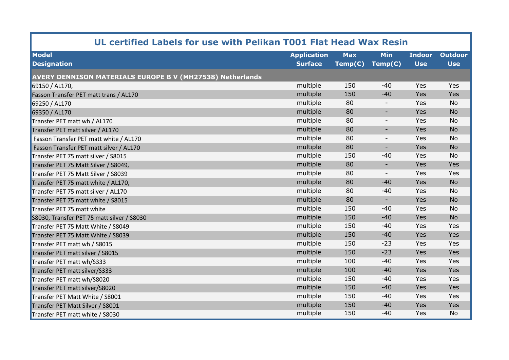| UL certified Labels for use with Pelikan T001 Flat Head Wax Resin |                    |            |                          |               |                |  |  |  |
|-------------------------------------------------------------------|--------------------|------------|--------------------------|---------------|----------------|--|--|--|
| <b>Model</b>                                                      | <b>Application</b> | <b>Max</b> | Min                      | <b>Indoor</b> | <b>Outdoor</b> |  |  |  |
| <b>Designation</b>                                                | <b>Surface</b>     | Temp(C)    | Temp(C)                  | <b>Use</b>    | <b>Use</b>     |  |  |  |
| <b>AVERY DENNISON MATERIALS EUROPE B V (MH27538) Netherlands</b>  |                    |            |                          |               |                |  |  |  |
| 69150 / AL170,                                                    | multiple           | 150        | $-40$                    | Yes           | Yes            |  |  |  |
| Fasson Transfer PET matt trans / AL170                            | multiple           | 150        | $-40$                    | Yes           | Yes            |  |  |  |
| 69250 / AL170                                                     | multiple           | 80         | $\overline{\phantom{a}}$ | Yes           | <b>No</b>      |  |  |  |
| 69350 / AL170                                                     | multiple           | 80         | $\overline{\phantom{a}}$ | Yes           | <b>No</b>      |  |  |  |
| Transfer PET matt wh / AL170                                      | multiple           | 80         | $\overline{\phantom{a}}$ | Yes           | No             |  |  |  |
| Transfer PET matt silver / AL170                                  | multiple           | 80         | $\overline{\phantom{a}}$ | Yes           | <b>No</b>      |  |  |  |
| Fasson Transfer PET matt white / AL170                            | multiple           | 80         | $\overline{\phantom{a}}$ | Yes           | <b>No</b>      |  |  |  |
| Fasson Transfer PET matt silver / AL170                           | multiple           | 80         | $\overline{\phantom{a}}$ | Yes           | <b>No</b>      |  |  |  |
| Transfer PET 75 matt silver / S8015                               | multiple           | 150        | $-40$                    | Yes           | <b>No</b>      |  |  |  |
| Transfer PET 75 Matt Silver / S8049,                              | multiple           | 80         | $\overline{\phantom{a}}$ | Yes           | Yes            |  |  |  |
| Transfer PET 75 Matt Silver / S8039                               | multiple           | 80         | $\overline{\phantom{a}}$ | Yes           | Yes            |  |  |  |
| Transfer PET 75 matt white / AL170,                               | multiple           | 80         | $-40$                    | Yes           | <b>No</b>      |  |  |  |
| Transfer PET 75 matt silver / AL170                               | multiple           | 80         | $-40$                    | Yes           | No             |  |  |  |
| Transfer PET 75 matt white / S8015                                | multiple           | 80         | $\blacksquare$           | Yes           | <b>No</b>      |  |  |  |
| Transfer PET 75 matt white                                        | multiple           | 150        | $-40$                    | Yes           | No             |  |  |  |
| S8030, Transfer PET 75 matt silver / S8030                        | multiple           | 150        | $-40$                    | Yes           | <b>No</b>      |  |  |  |
| Transfer PET 75 Matt White / S8049                                | multiple           | 150        | $-40$                    | Yes           | Yes            |  |  |  |
| Transfer PET 75 Matt White / S8039                                | multiple           | 150        | $-40$                    | Yes           | Yes            |  |  |  |
| Transfer PET matt wh / S8015                                      | multiple           | 150        | $-23$                    | Yes           | Yes            |  |  |  |
| Transfer PET matt silver / S8015                                  | multiple           | 150        | $-23$                    | Yes           | Yes            |  |  |  |
| Transfer PET matt wh/S333                                         | multiple           | 100        | $-40$                    | Yes           | Yes            |  |  |  |
| Transfer PET matt silver/S333                                     | multiple           | 100        | $-40$                    | Yes           | Yes            |  |  |  |
| Transfer PET matt wh/S8020                                        | multiple           | 150        | $-40$                    | Yes           | Yes            |  |  |  |
| Transfer PET matt silver/S8020                                    | multiple           | 150        | $-40$                    | Yes           | Yes            |  |  |  |
| Transfer PET Matt White / S8001                                   | multiple           | 150        | $-40$                    | Yes           | Yes            |  |  |  |
| Transfer PET Matt Silver / S8001                                  | multiple           | 150        | $-40$                    | Yes           | Yes            |  |  |  |
| Transfer PET matt white / S8030                                   | multiple           | 150        | $-40$                    | Yes           | <b>No</b>      |  |  |  |